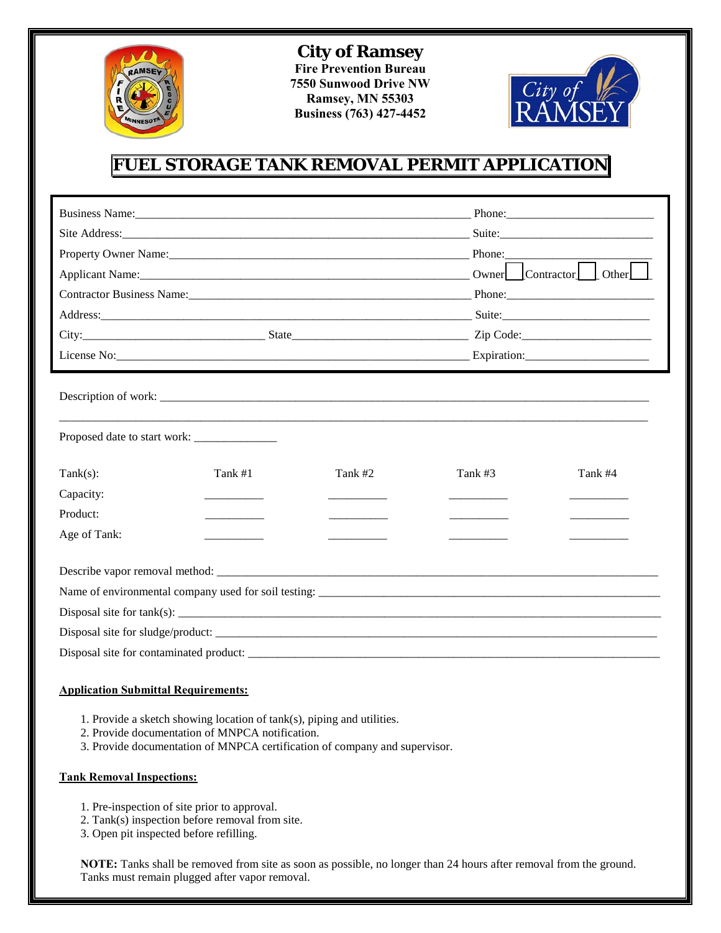

**City of Ramsey Fire Prevention Bureau 7550 Sunwood Drive NW Ramsey, MN 55303 Business (763) 427-4452** 



## **FUEL STORAGE TANK REMOVAL PERMIT APPLICATION**

|                                         |         |         |         | Phone:                                      |  |
|-----------------------------------------|---------|---------|---------|---------------------------------------------|--|
|                                         |         |         |         | Suite:                                      |  |
|                                         |         |         |         | Phone:                                      |  |
|                                         |         |         |         | Owner Contractor Other                      |  |
|                                         |         |         |         |                                             |  |
|                                         |         |         |         |                                             |  |
|                                         |         |         |         | $City:$ $Zip Code:$ $Zip Code:$ $Zip Code:$ |  |
|                                         |         |         |         |                                             |  |
| $Tank(s)$ :<br>Capacity:<br>Product:    | Tank #1 | Tank #2 | Tank #3 | Tank #4                                     |  |
| Age of Tank:                            |         |         |         |                                             |  |
| Disposal site for contaminated product: |         |         |         |                                             |  |

## **Application Submittal Requirements:**

- 1. Provide a sketch showing location of tank(s), piping and utilities.
- 2. Provide documentation of MNPCA notification.
- 3. Provide documentation of MNPCA certification of company and supervisor.

## **Tank Removal Inspections:**

- 1. Pre-inspection of site prior to approval.
- 2. Tank(s) inspection before removal from site.
- 3. Open pit inspected before refilling.

**NOTE:** Tanks shall be removed from site as soon as possible, no longer than 24 hours after removal from the ground. Tanks must remain plugged after vapor removal.